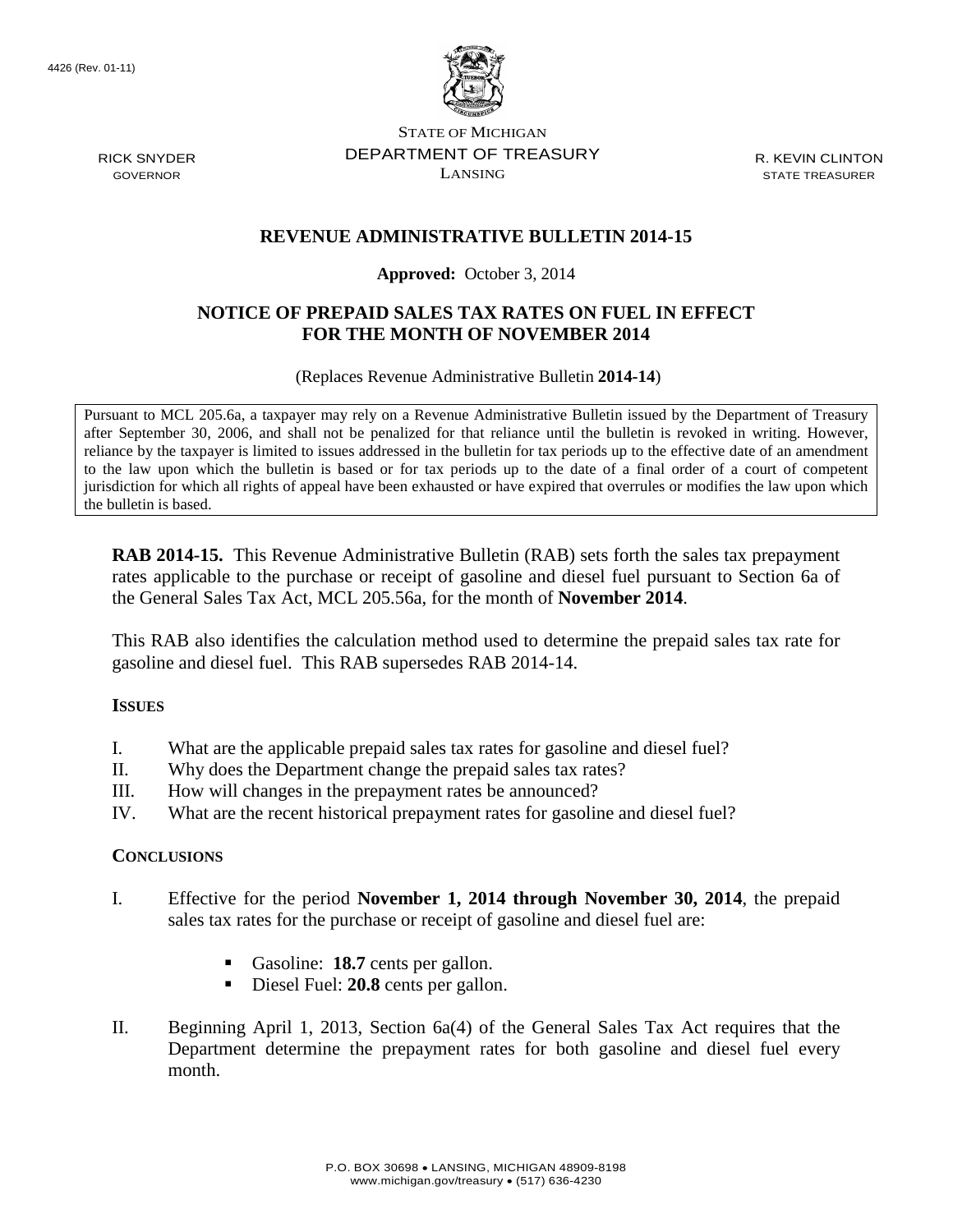4426 (Rev. 01-11)



STATE OF MICHIGAN DEPARTMENT OF TREASURY LANSING

R. KEVIN CLINTON STATE TREASURER

## **REVENUE ADMINISTRATIVE BULLETIN 2014-15**

#### **Approved:** October 3, 2014

### **NOTICE OF PREPAID SALES TAX RATES ON FUEL IN EFFECT FOR THE MONTH OF NOVEMBER 2014**

(Replaces Revenue Administrative Bulletin **2014-14**)

Pursuant to MCL 205.6a, a taxpayer may rely on a Revenue Administrative Bulletin issued by the Department of Treasury after September 30, 2006, and shall not be penalized for that reliance until the bulletin is revoked in writing. However, reliance by the taxpayer is limited to issues addressed in the bulletin for tax periods up to the effective date of an amendment to the law upon which the bulletin is based or for tax periods up to the date of a final order of a court of competent jurisdiction for which all rights of appeal have been exhausted or have expired that overrules or modifies the law upon which the bulletin is based.

**RAB 2014-15.** This Revenue Administrative Bulletin (RAB) sets forth the sales tax prepayment rates applicable to the purchase or receipt of gasoline and diesel fuel pursuant to Section 6a of the General Sales Tax Act, MCL 205.56a, for the month of **November 2014**.

This RAB also identifies the calculation method used to determine the prepaid sales tax rate for gasoline and diesel fuel. This RAB supersedes RAB 2014-14.

#### **ISSUES**

- I. What are the applicable prepaid sales tax rates for gasoline and diesel fuel?
- II. Why does the Department change the prepaid sales tax rates?
- III. How will changes in the prepayment rates be announced?
- IV. What are the recent historical prepayment rates for gasoline and diesel fuel?

#### **CONCLUSIONS**

- I. Effective for the period **November 1, 2014 through November 30, 2014**, the prepaid sales tax rates for the purchase or receipt of gasoline and diesel fuel are:
	- Gasoline: **18.7** cents per gallon.
	- Diesel Fuel: **20.8** cents per gallon.
- II. Beginning April 1, 2013, Section 6a(4) of the General Sales Tax Act requires that the Department determine the prepayment rates for both gasoline and diesel fuel every month.

RICK SNYDER GOVERNOR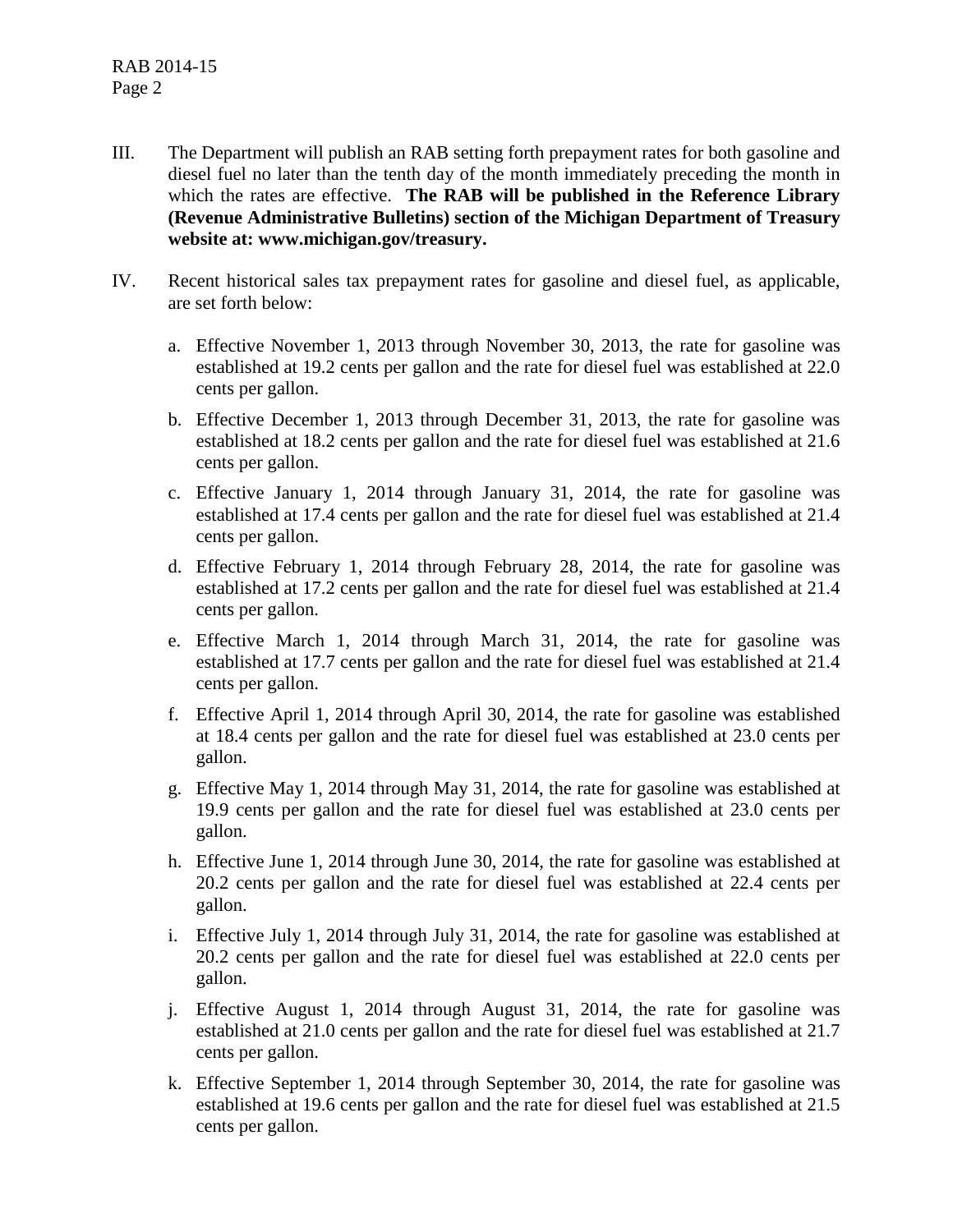- III. The Department will publish an RAB setting forth prepayment rates for both gasoline and diesel fuel no later than the tenth day of the month immediately preceding the month in which the rates are effective. **The RAB will be published in the Reference Library (Revenue Administrative Bulletins) section of the Michigan Department of Treasury website at: www.michigan.gov/treasury.**
- IV. Recent historical sales tax prepayment rates for gasoline and diesel fuel, as applicable, are set forth below:
	- a. Effective November 1, 2013 through November 30, 2013, the rate for gasoline was established at 19.2 cents per gallon and the rate for diesel fuel was established at 22.0 cents per gallon.
	- b. Effective December 1, 2013 through December 31, 2013, the rate for gasoline was established at 18.2 cents per gallon and the rate for diesel fuel was established at 21.6 cents per gallon.
	- c. Effective January 1, 2014 through January 31, 2014, the rate for gasoline was established at 17.4 cents per gallon and the rate for diesel fuel was established at 21.4 cents per gallon.
	- d. Effective February 1, 2014 through February 28, 2014, the rate for gasoline was established at 17.2 cents per gallon and the rate for diesel fuel was established at 21.4 cents per gallon.
	- e. Effective March 1, 2014 through March 31, 2014, the rate for gasoline was established at 17.7 cents per gallon and the rate for diesel fuel was established at 21.4 cents per gallon.
	- f. Effective April 1, 2014 through April 30, 2014, the rate for gasoline was established at 18.4 cents per gallon and the rate for diesel fuel was established at 23.0 cents per gallon.
	- g. Effective May 1, 2014 through May 31, 2014, the rate for gasoline was established at 19.9 cents per gallon and the rate for diesel fuel was established at 23.0 cents per gallon.
	- h. Effective June 1, 2014 through June 30, 2014, the rate for gasoline was established at 20.2 cents per gallon and the rate for diesel fuel was established at 22.4 cents per gallon.
	- i. Effective July 1, 2014 through July 31, 2014, the rate for gasoline was established at 20.2 cents per gallon and the rate for diesel fuel was established at 22.0 cents per gallon.
	- j. Effective August 1, 2014 through August 31, 2014, the rate for gasoline was established at 21.0 cents per gallon and the rate for diesel fuel was established at 21.7 cents per gallon.
	- k. Effective September 1, 2014 through September 30, 2014, the rate for gasoline was established at 19.6 cents per gallon and the rate for diesel fuel was established at 21.5 cents per gallon.